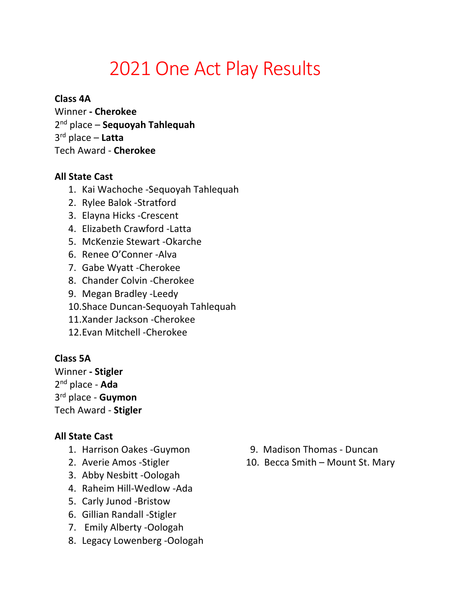# 2021 One Act Play Results

## **Class 4A**

Winner **- Cherokee**  2nd place – **Sequoyah Tahlequah**  3rd place – **Latta**  Tech Award - **Cherokee** 

### **All State Cast**

- 1. Kai Wachoche -Sequoyah Tahlequah
- 2. Rylee Balok -Stratford
- 3. Elayna Hicks -Crescent
- 4. Elizabeth Crawford -Latta
- 5. McKenzie Stewart -Okarche
- 6. Renee O'Conner -Alva
- 7. Gabe Wyatt -Cherokee
- 8. Chander Colvin -Cherokee
- 9. Megan Bradley -Leedy
- 10.Shace Duncan-Sequoyah Tahlequah
- 11.Xander Jackson -Cherokee
- 12.Evan Mitchell -Cherokee

## **Class 5A**

Winner **- Stigler** 2nd place - **Ada** 3rd place - **Guymon** Tech Award - **Stigler**

## **All State Cast**

- 
- 
- 3. Abby Nesbitt -Oologah
- 4. Raheim Hill-Wedlow -Ada
- 5. Carly Junod -Bristow
- 6. Gillian Randall -Stigler
- 7. Emily Alberty -Oologah
- 8. Legacy Lowenberg -Oologah
- 1. Harrison Oakes -Guymon 9. Madison Thomas Duncan
- 2. Averie Amos Stigler 10. Becca Smith Mount St. Mary